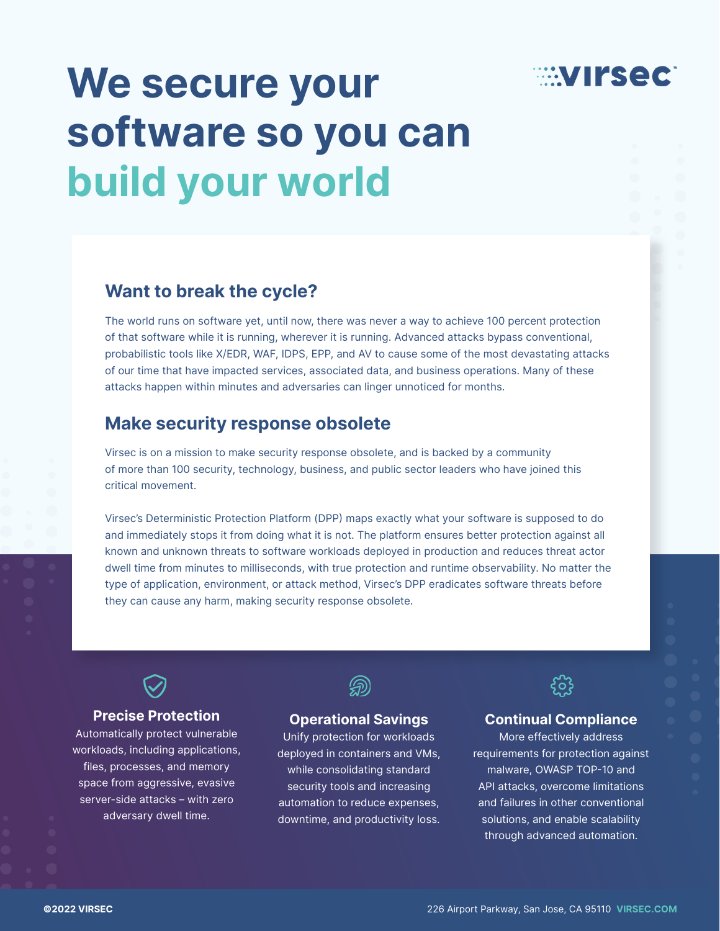

## We secure your software so you can build your world

### Want to break the cycle?

The world runs on software yet, until now, there was never a way to achieve 100 percent protection of that software while it is running, wherever it is running. Advanced attacks bypass conventional, probabilistic tools like X/EDR, WAF, IDPS, EPP, and AV to cause some of the most devastating attacks of our time that have impacted services, associated data, and business operations. Many of these attacks happen within minutes and adversaries can linger unnoticed for months.

## Make security response obsolete

Virsec is on a mission to make security response obsolete, and is backed by a community of more than 100 security, technology, business, and public sector leaders who have joined this critical movement.

Virsec's Deterministic Protection Platform (DPP) maps exactly what your software is supposed to do and immediately stops it from doing what it is not. The platform ensures better protection against all known and unknown threats to software workloads deployed in production and reduces threat actor dwell time from minutes to milliseconds, with true protection and runtime observability. No matter the type of application, environment, or attack method, Virsec's DPP eradicates software threats before they can cause any harm, making security response obsolete.

### Precise Protection

Automatically protect vulnerable workloads, including applications, files, processes, and memory space from aggressive, evasive server-side attacks – with zero adversary dwell time.



### Operational Savings

Unify protection for workloads deployed in containers and VMs, while consolidating standard security tools and increasing automation to reduce expenses, downtime, and productivity loss.



### Continual Compliance

More effectively address requirements for protection against malware, OWASP TOP-10 and API attacks, overcome limitations and failures in other conventional solutions, and enable scalability through advanced automation.